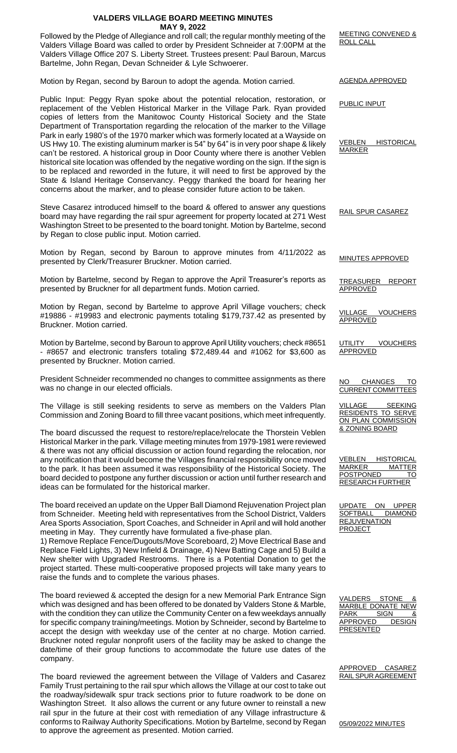## **VALDERS VILLAGE BOARD MEETING MINUTES MAY 9, 2022**

Followed by the Pledge of Allegiance and roll call; the regular monthly meeting of the Valders Village Board was called to order by President Schneider at 7:00PM at the Valders Village Office 207 S. Liberty Street. Trustees present: Paul Baroun, Marcus Bartelme, John Regan, Devan Schneider & Lyle Schwoerer.

Motion by Regan, second by Baroun to adopt the agenda. Motion carried.

Public Input: Peggy Ryan spoke about the potential relocation, restoration, or replacement of the Veblen Historical Marker in the Village Park. Ryan provided copies of letters from the Manitowoc County Historical Society and the State Department of Transportation regarding the relocation of the marker to the Village Park in early 1980's of the 1970 marker which was formerly located at a Wayside on US Hwy 10. The existing aluminum marker is 54" by 64" is in very poor shape & likely can't be restored. A historical group in Door County where there is another Veblen historical site location was offended by the negative wording on the sign. If the sign is to be replaced and reworded in the future, it will need to first be approved by the State & Island Heritage Conservancy. Peggy thanked the board for hearing her concerns about the marker, and to please consider future action to be taken.

Steve Casarez introduced himself to the board & offered to answer any questions board may have regarding the rail spur agreement for property located at 271 West Washington Street to be presented to the board tonight. Motion by Bartelme, second by Regan to close public input. Motion carried.

Motion by Regan, second by Baroun to approve minutes from 4/11/2022 as presented by Clerk/Treasurer Bruckner. Motion carried.

Motion by Bartelme, second by Regan to approve the April Treasurer's reports as presented by Bruckner for all department funds. Motion carried.

Motion by Regan, second by Bartelme to approve April Village vouchers; check #19886 - #19983 and electronic payments totaling \$179,737.42 as presented by Bruckner. Motion carried.

Motion by Bartelme, second by Baroun to approve April Utility vouchers; check #8651 - #8657 and electronic transfers totaling \$72,489.44 and #1062 for \$3,600 as presented by Bruckner. Motion carried.

President Schneider recommended no changes to committee assignments as there was no change in our elected officials.

The Village is still seeking residents to serve as members on the Valders Plan Commission and Zoning Board to fill three vacant positions, which meet infrequently.

The board discussed the request to restore/replace/relocate the Thorstein Veblen Historical Marker in the park. Village meeting minutes from 1979-1981 were reviewed & there was not any official discussion or action found regarding the relocation, nor any notification that it would become the Villages financial responsibility once moved to the park. It has been assumed it was responsibility of the Historical Society. The board decided to postpone any further discussion or action until further research and ideas can be formulated for the historical marker.

The board received an update on the Upper Ball Diamond Rejuvenation Project plan from Schneider. Meeting held with representatives from the School District, Valders Area Sports Association, Sport Coaches, and Schneider in April and will hold another meeting in May. They currently have formulated a five-phase plan.

1) Remove Replace Fence/Dugouts/Move Scoreboard, 2) Move Electrical Base and Replace Field Lights, 3) New Infield & Drainage, 4) New Batting Cage and 5) Build a New shelter with Upgraded Restrooms. There is a Potential Donation to get the project started. These multi-cooperative proposed projects will take many years to raise the funds and to complete the various phases.

The board reviewed & accepted the design for a new Memorial Park Entrance Sign which was designed and has been offered to be donated by Valders Stone & Marble, with the condition they can utilize the Community Center on a few weekdays annually for specific company training/meetings. Motion by Schneider, second by Bartelme to accept the design with weekday use of the center at no charge. Motion carried. Bruckner noted regular nonprofit users of the facility may be asked to change the date/time of their group functions to accommodate the future use dates of the company.

The board reviewed the agreement between the Village of Valders and Casarez Family Trust pertaining to the rail spur which allows the Village at our cost to take out the roadway/sidewalk spur track sections prior to future roadwork to be done on Washington Street. It also allows the current or any future owner to reinstall a new rail spur in the future at their cost with remediation of any Village infrastructure & conforms to Railway Authority Specifications. Motion by Bartelme, second by Regan to approve the agreement as presented. Motion carried.

MEETING CONVENED & ROLL CALL

AGENDA APPROVED

PUBLIC INPUT

VEBLEN HISTORICAL **MARKER** 

RAIL SPUR CASAREZ

MINUTES APPROVED

TREASURER REPORT APPROVED

VILLAGE VOUCHERS APPROVED

UTILITY VOUCHERS APPROVED

NO CHANGES TO CURRENT COMMITTEES

VILLAGE SEEKING RESIDENTS TO SERVE ON PLAN COMMISSION & ZONING BOARD

VEBLEN HISTORICAL MARKER MATTER POSTPONED TO RESEARCH FURTHER

UPDATE ON UPPER SOFTBALL DIAMOND **REJUVENATION PROJECT** 

VALDERS STONE MARBLE DONATE NEW PARK SIGN & APPROVED DESIGN PRESENTED

APPROVED CASAREZ RAIL SPUR AGREEMENT